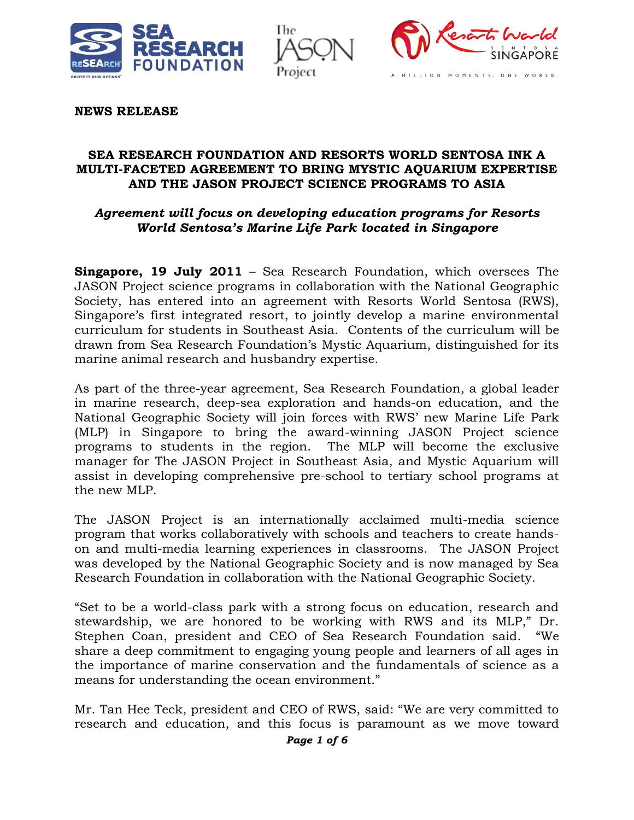





**NEWS RELEASE**

#### **SEA RESEARCH FOUNDATION AND RESORTS WORLD SENTOSA INK A MULTI-FACETED AGREEMENT TO BRING MYSTIC AQUARIUM EXPERTISE AND THE JASON PROJECT SCIENCE PROGRAMS TO ASIA**

### *Agreement will focus on developing education programs for Resorts World Sentosa's Marine Life Park located in Singapore*

**Singapore, 19 July 2011** – Sea Research Foundation, which oversees The JASON Project science programs in collaboration with the National Geographic Society, has entered into an agreement with Resorts World Sentosa (RWS), Singapore's first integrated resort, to jointly develop a marine environmental curriculum for students in Southeast Asia. Contents of the curriculum will be drawn from Sea Research Foundation's Mystic Aquarium, distinguished for its marine animal research and husbandry expertise.

As part of the three-year agreement, Sea Research Foundation, a global leader in marine research, deep-sea exploration and hands-on education, and the National Geographic Society will join forces with RWS' new Marine Life Park (MLP) in Singapore to bring the award-winning JASON Project science programs to students in the region. The MLP will become the exclusive manager for The JASON Project in Southeast Asia, and Mystic Aquarium will assist in developing comprehensive pre-school to tertiary school programs at the new MLP.

The JASON Project is an internationally acclaimed multi-media science program that works collaboratively with schools and teachers to create handson and multi-media learning experiences in classrooms. The JASON Project was developed by the National Geographic Society and is now managed by Sea Research Foundation in collaboration with the National Geographic Society.

"Set to be a world-class park with a strong focus on education, research and stewardship, we are honored to be working with RWS and its MLP," Dr. Stephen Coan, president and CEO of Sea Research Foundation said. "We share a deep commitment to engaging young people and learners of all ages in the importance of marine conservation and the fundamentals of science as a means for understanding the ocean environment."

Mr. Tan Hee Teck, president and CEO of RWS, said: "We are very committed to research and education, and this focus is paramount as we move toward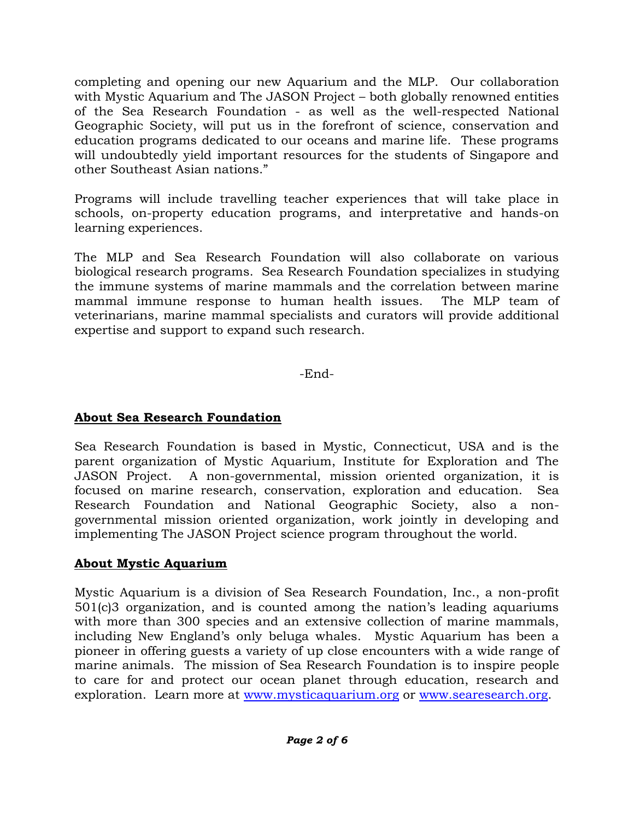completing and opening our new Aquarium and the MLP. Our collaboration with Mystic Aquarium and The JASON Project – both globally renowned entities of the Sea Research Foundation - as well as the well-respected National Geographic Society, will put us in the forefront of science, conservation and education programs dedicated to our oceans and marine life. These programs will undoubtedly yield important resources for the students of Singapore and other Southeast Asian nations."

Programs will include travelling teacher experiences that will take place in schools, on-property education programs, and interpretative and hands-on learning experiences.

The MLP and Sea Research Foundation will also collaborate on various biological research programs. Sea Research Foundation specializes in studying the immune systems of marine mammals and the correlation between marine mammal immune response to human health issues. The MLP team of veterinarians, marine mammal specialists and curators will provide additional expertise and support to expand such research.

-End-

## **About Sea Research Foundation**

Sea Research Foundation is based in Mystic, Connecticut, USA and is the parent organization of Mystic Aquarium, Institute for Exploration and The JASON Project. A non-governmental, mission oriented organization, it is focused on marine research, conservation, exploration and education. Sea Research Foundation and National Geographic Society, also a nongovernmental mission oriented organization, work jointly in developing and implementing The JASON Project science program throughout the world.

# **About Mystic Aquarium**

Mystic Aquarium is a division of Sea Research Foundation, Inc., a non-profit 501(c)3 organization, and is counted among the nation's leading aquariums with more than 300 species and an extensive collection of marine mammals, including New England's only beluga whales. Mystic Aquarium has been a pioneer in offering guests a variety of up close encounters with a wide range of marine animals. The mission of Sea Research Foundation is to inspire people to care for and protect our ocean planet through education, research and exploration. Learn more at [www.mysticaquarium.org](http://www.mysticaquarium.org/) or [www.searesearch.org.](http://www.searesearch.org/)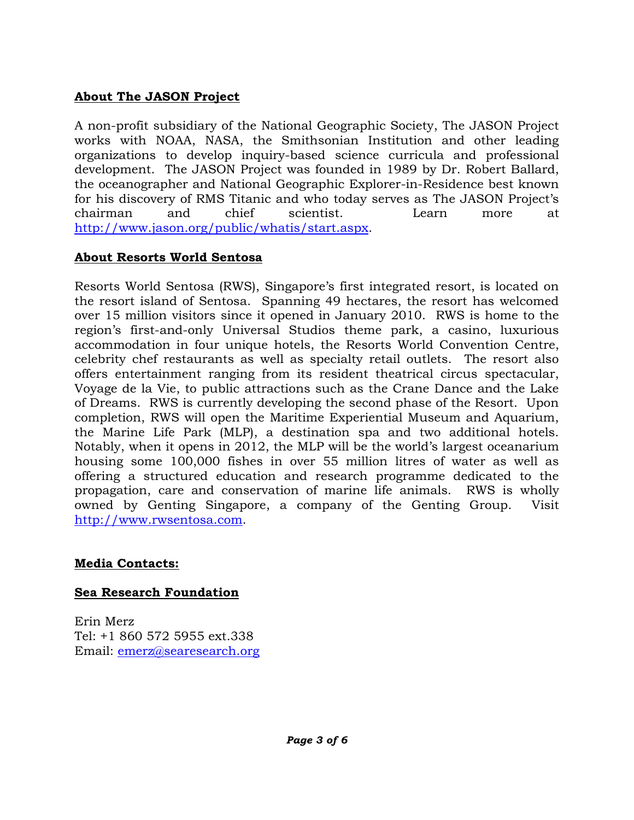## **About The JASON Project**

A non-profit subsidiary of the National Geographic Society, The JASON Project works with NOAA, NASA, the Smithsonian Institution and other leading organizations to develop inquiry-based science curricula and professional development. The JASON Project was founded in 1989 by Dr. Robert Ballard, the oceanographer and National Geographic Explorer-in-Residence best known for his discovery of RMS Titanic and who today serves as The JASON Project's chairman and chief scientist. Learn more at [http://www.jason.org/public/whatis/start.aspx.](http://www.jason.org/public/whatis/start.aspx)

## **About Resorts World Sentosa**

Resorts World Sentosa (RWS), Singapore's first integrated resort, is located on the resort island of Sentosa. Spanning 49 hectares, the resort has welcomed over 15 million visitors since it opened in January 2010. RWS is home to the region's first-and-only Universal Studios theme park, a casino, luxurious accommodation in four unique hotels, the Resorts World Convention Centre, celebrity chef restaurants as well as specialty retail outlets. The resort also offers entertainment ranging from its resident theatrical circus spectacular, Voyage de la Vie, to public attractions such as the Crane Dance and the Lake of Dreams. RWS is currently developing the second phase of the Resort. Upon completion, RWS will open the Maritime Experiential Museum and Aquarium, the Marine Life Park (MLP), a destination spa and two additional hotels. Notably, when it opens in 2012, the MLP will be the world's largest oceanarium housing some 100,000 fishes in over 55 million litres of water as well as offering a structured education and research programme dedicated to the propagation, care and conservation of marine life animals. RWS is wholly owned by Genting Singapore, a company of the Genting Group. Visit [http://www.rwsentosa.com.](http://www.rwsentosa.com/)

## **Media Contacts:**

### **Sea Research Foundation**

Erin Merz Tel: +1 860 572 5955 ext.338 Email: [emerz@searesearch.org](mailto:emerz@searesearch.org)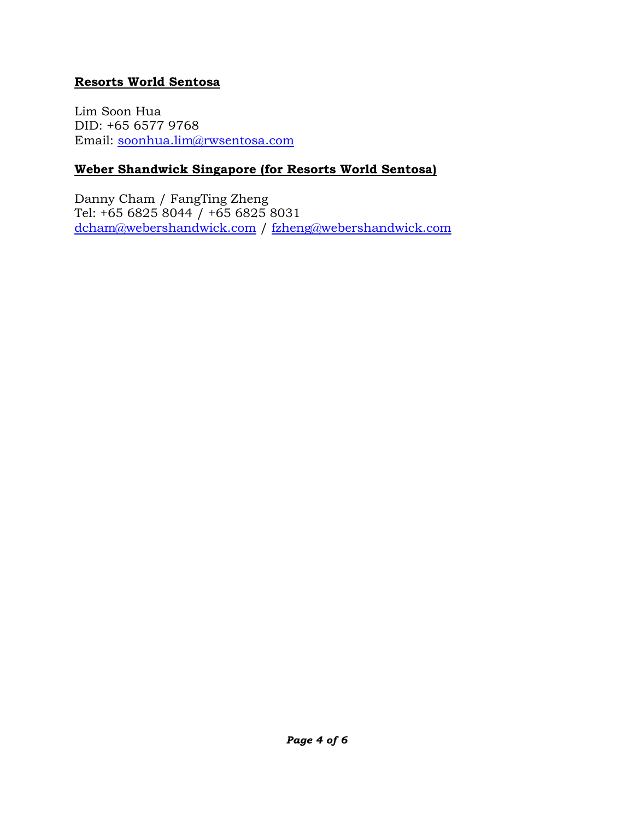### **Resorts World Sentosa**

Lim Soon Hua DID: +65 6577 9768 Email: [soonhua.lim@rwsentosa.com](mailto:soonhua.lim@rwsentosa.com)

## **Weber Shandwick Singapore (for Resorts World Sentosa)**

Danny Cham / FangTing Zheng Tel: +65 6825 8044  $\overline{)}$  +65 6825 8031 [dcham@webershandwick.com](mailto:dcham@webershandwick.com) / [fzheng@webershandwick.com](mailto:fzheng@webershandwick.com)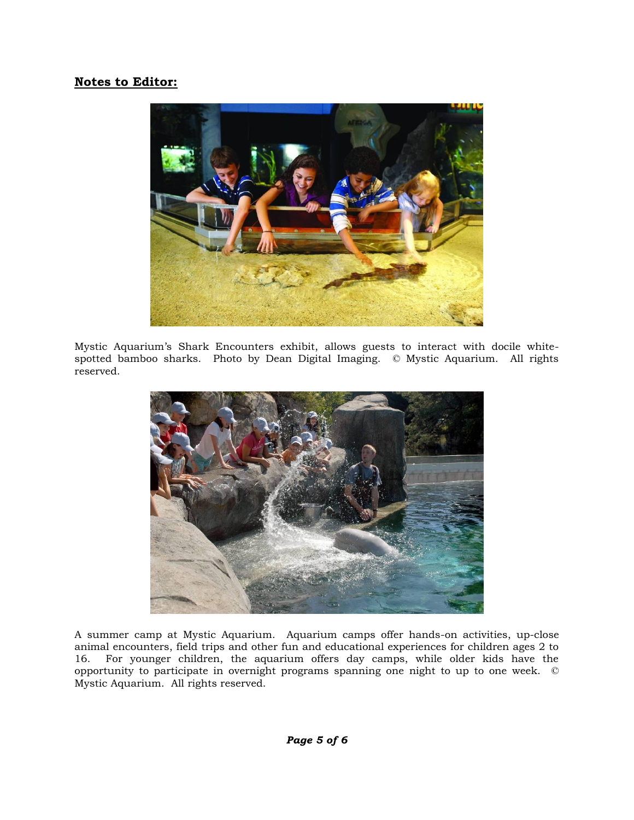#### **Notes to Editor:**



Mystic Aquarium's Shark Encounters exhibit, allows guests to interact with docile whitespotted bamboo sharks. Photo by Dean Digital Imaging. © Mystic Aquarium. All rights reserved.



A summer camp at Mystic Aquarium. Aquarium camps offer hands-on activities, up-close animal encounters, field trips and other fun and educational experiences for children ages 2 to 16. For younger children, the aquarium offers day camps, while older kids have the opportunity to participate in overnight programs spanning one night to up to one week. © Mystic Aquarium. All rights reserved.